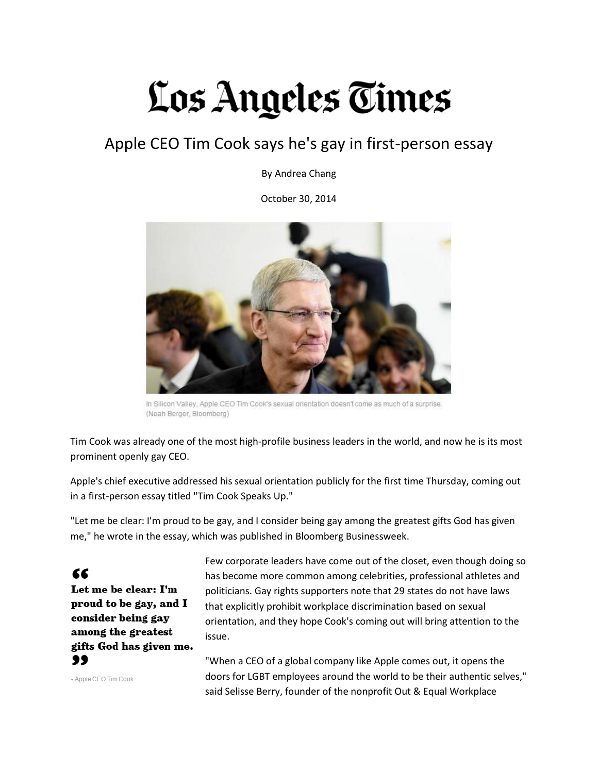## Los Angeles Times

## Apple CEO Tim Cook says he's gay in first-person essay

By Andrea Chang

October 30, 2014



In Silicon Valley, Apple CEO Tim Cook's sexual orientation doesn't come as much of a surprise. (Noah Berger, Bloomberg)

Tim Cook was already one of the most high-profile business leaders in the world, and now he is its most prominent openly gay CEO.

Apple's chief executive addressed his sexual orientation publicly for the first time Thursday, coming out in a first-person essay titled "Tim Cook Speaks Up."

"Let me be clear: I'm proud to be gay, and I consider being gay among the greatest gifts God has given me," he wrote in the essay, which was published in Bloomberg Businessweek.

## 66

Let me be clear: I'm proud to be gay, and I consider being gay among the greatest gifts God has given me. 99

Few corporate leaders have come out of the closet, even though doing so has become more common among celebrities, professional athletes and politicians. Gay rights supporters note that 29 states do not have laws that explicitly prohibit workplace discrimination based on sexual orientation, and they hope Cook's coming out will bring attention to the issue.

- Apple CEO Tim Cook

"When a CEO of a global company like Apple comes out, it opens the doors for LGBT employees around the world to be their authentic selves," said Selisse Berry, founder of the nonprofit Out & Equal Workplace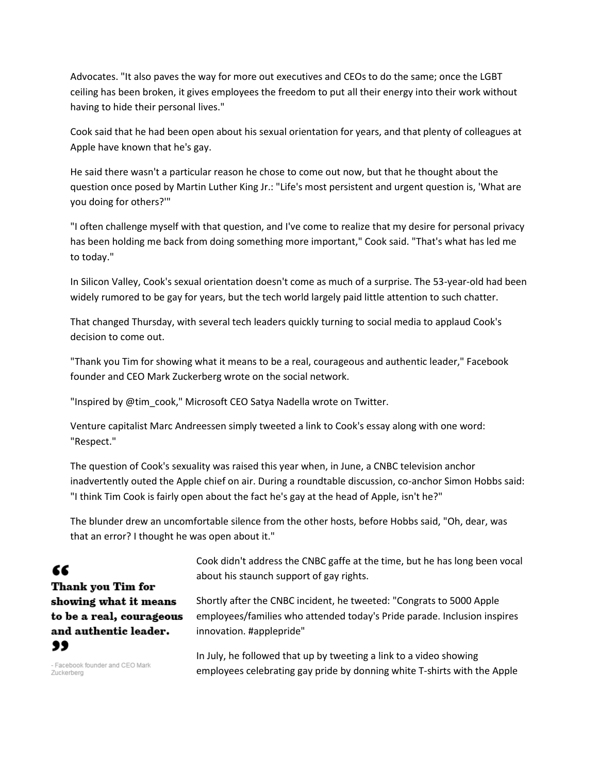Advocates. "It also paves the way for more out executives and CEOs to do the same; once the LGBT ceiling has been broken, it gives employees the freedom to put all their energy into their work without having to hide their personal lives."

Cook said that he had been open about his sexual orientation for years, and that plenty of colleagues at Apple have known that he's gay.

He said there wasn't a particular reason he chose to come out now, but that he thought about the question once posed by Martin Luther King Jr.: "Life's most persistent and urgent question is, 'What are you doing for others?'"

"I often challenge myself with that question, and I've come to realize that my desire for personal privacy has been holding me back from doing something more important," Cook said. "That's what has led me to today."

In Silicon Valley, Cook's sexual orientation doesn't come as much of a surprise. The 53-year-old had been widely rumored to be gay for years, but the tech world largely paid little attention to such chatter.

That changed Thursday, with several tech leaders quickly turning to social media to applaud Cook's decision to come out.

"Thank you Tim for showing what it means to be a real, courageous and authentic leader," Facebook founder and CEO Mark Zuckerberg wrote on the social network.

"Inspired by @tim\_cook," Microsoft CEO Satya Nadella wrote on Twitter.

Venture capitalist Marc Andreessen simply tweeted a link to Cook's essay along with one word: "Respect."

The question of Cook's sexuality was raised this year when, in June, a CNBC television anchor inadvertently outed the Apple chief on air. During a roundtable discussion, co-anchor Simon Hobbs said: "I think Tim Cook is fairly open about the fact he's gay at the head of Apple, isn't he?"

The blunder drew an uncomfortable silence from the other hosts, before Hobbs said, "Oh, dear, was that an error? I thought he was open about it."

## "

**Thank you Tim for** showing what it means to be a real, courageous and authentic leader. 99

Cook didn't address the CNBC gaffe at the time, but he has long been vocal about his staunch support of gay rights.

Shortly after the CNBC incident, he tweeted: "Congrats to 5000 Apple employees/families who attended today's Pride parade. Inclusion inspires innovation. #applepride"

- Facebook founder and CEO Mark Zuckerberg

In July, he followed that up by tweeting a link to a video showing employees celebrating gay pride by donning white T-shirts with the Apple